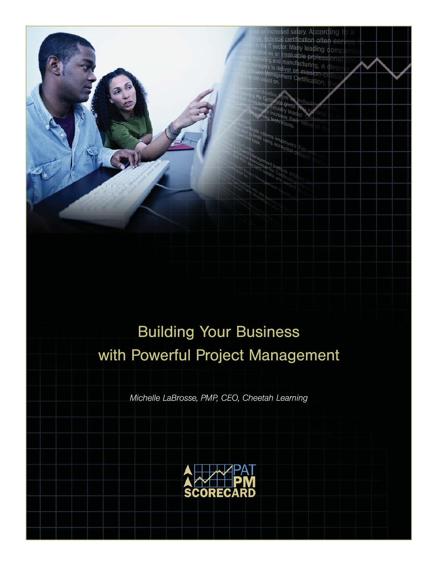

T sector Many leading com as an invaluable profes and manufacturing, a to deliver on mise nent Certifica

*Michelle LaBrosse, PMP, CEO, Cheetah Learning*

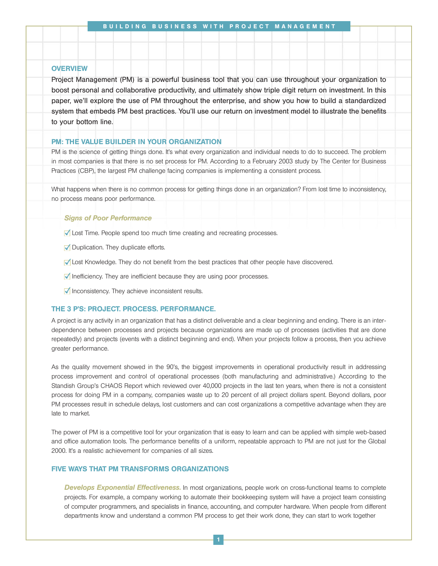#### **OVERVIEW**

Project Management (PM) is a powerful business tool that you can use throughout your organization to boost personal and collaborative productivity, and ultimately show triple digit return on investment. In this paper, we'll explore the use of PM throughout the enterprise, and show you how to build a standardized system that embeds PM best practices. You'll use our return on investment model to illustrate the benefits to your bottom line.

### PM: THE VALUE BUILDER IN YOUR ORGANIZATION

PM is the science of getting things done. It's what every organization and individual needs to do to succeed. The problem in most companies is that there is no set process for PM. According to a February 2003 study by The Center for Business Practices (CBP), the largest PM challenge facing companies is implementing a consistent process.

What happens when there is no common process for getting things done in an organization? From lost time to inconsistency, no process means poor performance.

#### *Signs of Poor Performance*

- Lost Time. People spend too much time creating and recreating processes.
- **J** Duplication. They duplicate efforts.
- Lost Knowledge. They do not benefit from the best practices that other people have discovered.
- $\blacksquare$  Inefficiency. They are inefficient because they are using poor processes.
- $\sqrt{\ }$  Inconsistency. They achieve inconsistent results.

### THE 3 P'S: PROJECT. PROCESS. PERFORMANCE.

A project is any activity in an organization that has a distinct deliverable and a clear beginning and ending. There is an interdependence between processes and projects because organizations are made up of processes (activities that are done repeatedly) and projects (events with a distinct beginning and end). When your projects follow a process, then you achieve greater performance.

As the quality movement showed in the 90's, the biggest improvements in operational productivity result in addressing process improvement and control of operational processes (both manufacturing and administrative.) According to the Standish Group's CHAOS Report which reviewed over 40,000 projects in the last ten years, when there is not a consistent process for doing PM in a company, companies waste up to 20 percent of all project dollars spent. Beyond dollars, poor PM processes result in schedule delays, lost customers and can cost organizations a competitive advantage when they are late to market.

The power of PM is a competitive tool for your organization that is easy to learn and can be applied with simple web-based and office automation tools. The performance benefits of a uniform, repeatable approach to PM are not just for the Global 2000. It's a realistic achievement for companies of all sizes.

## FIVE WAYS THAT PM TRANSFORMS ORGANIZATIONS

*Develops Exponential Effectiveness.* In most organizations, people work on cross-functional teams to complete projects. For example, a company working to automate their bookkeeping system will have a project team consisting of computer programmers, and specialists in finance, accounting, and computer hardware. When people from different departments know and understand a common PM process to get their work done, they can start to work together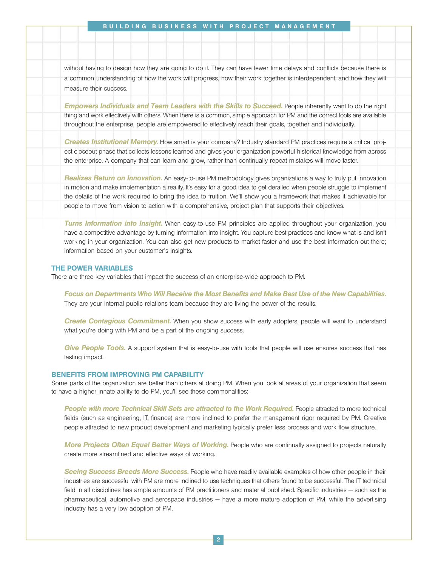without having to design how they are going to do it. They can have fewer time delays and conflicts because there is a common understanding of how the work will progress, how their work together is interdependent, and how they will measure their success.

*Empowers Individuals and Team Leaders with the Skills to Succeed.* **People inherently want to do the right** thing and work effectively with others. When there is a common, simple approach for PM and the correct tools are available throughout the enterprise, people are empowered to effectively reach their goals, together and individually.

*Creates Institutional Memory.* How smart is your company? Industry standard PM practices require a critical project closeout phase that collects lessons learned and gives your organization powerful historical knowledge from across the enterprise. A company that can learn and grow, rather than continually repeat mistakes will move faster.

*Realizes Return on Innovation.* An easy-to-use PM methodology gives organizations a way to truly put innovation in motion and make implementation a reality. It's easy for a good idea to get derailed when people struggle to implement the details of the work required to bring the idea to fruition. We'll show you a framework that makes it achievable for people to move from vision to action with a comprehensive, project plan that supports their objectives.

**Turns Information into Insight**. When easy-to-use PM principles are applied throughout your organization, you have a competitive advantage by turning information into insight. You capture best practices and know what is and isn't working in your organization. You can also get new products to market faster and use the best information out there; information based on your customer's insights.

## THE POWER VARIABLES

There are three key variables that impact the success of an enterprise-wide approach to PM.

*Focus on Departments Who Will Receive the Most Benefits and Make Best Use of the New Capabilities.* They are your internal public relations team because they are living the power of the results.

*Create Contagious Commitment.* When you show success with early adopters, people will want to understand what you're doing with PM and be a part of the ongoing success.

*Give People Tools.* A support system that is easy-to-use with tools that people will use ensures success that has lasting impact.

#### BENEFITS FROM IMPROVING PM CAPABILITY

Some parts of the organization are better than others at doing PM. When you look at areas of your organization that seem to have a higher innate ability to do PM, you'll see these commonalities:

*People with more Technical Skill Sets are attracted to the Work Required.* People attracted to more technical fields (such as engineering, IT, finance) are more inclined to prefer the management rigor required by PM. Creative people attracted to new product development and marketing typically prefer less process and work flow structure.

*More Projects Often Equal Better Ways of Working.* People who are continually assigned to projects naturally create more streamlined and effective ways of working.

*Seeing Success Breeds More Success.* People who have readily available examples of how other people in their industries are successful with PM are more inclined to use techniques that others found to be successful. The IT technical field in all disciplines has ample amounts of PM practitioners and material published. Specific industries — such as the pharmaceutical, automotive and aerospace industries — have a more mature adoption of PM, while the advertising industry has a very low adoption of PM.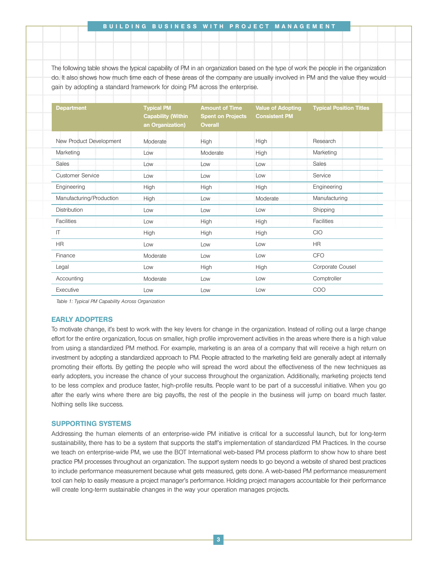#### BUILDING BUSINESS WITH PROJECT MANAGEMENT

The following table shows the typical capability of PM in an organization based on the type of work the people in the organization do. It also shows how much time each of these areas of the company are usually involved in PM and the value they would gain by adopting a standard framework for doing PM across the enterprise.

| <b>Department</b>        | <b>Typical PM</b><br><b>Capability (Within</b><br>an Organization) | <b>Amount of Time</b><br><b>Spent on Projects</b><br><b>Overall</b> | <b>Value of Adopting</b><br><b>Consistent PM</b> | <b>Typical Position Titles</b> |  |
|--------------------------|--------------------------------------------------------------------|---------------------------------------------------------------------|--------------------------------------------------|--------------------------------|--|
| New Product Development  | Moderate                                                           | <b>High</b>                                                         | <b>High</b>                                      | Research                       |  |
| Marketing                | Low                                                                | Moderate                                                            | High                                             | Marketing                      |  |
| <b>Sales</b>             | Low                                                                | Low                                                                 | Low                                              | Sales                          |  |
| <b>Customer Service</b>  | Low                                                                | Low                                                                 | Low                                              | Service                        |  |
| Engineering              | High                                                               | High                                                                | High                                             | Engineering                    |  |
| Manufacturing/Production | High                                                               | Low                                                                 | Moderate                                         | Manufacturing                  |  |
| <b>Distribution</b>      | Low                                                                | Low                                                                 | Low                                              | Shipping                       |  |
| <b>Facilities</b>        | Low                                                                | High                                                                | High                                             | <b>Facilities</b>              |  |
| IT                       | High                                                               | High                                                                | High                                             | CIO                            |  |
| <b>HR</b>                | Low                                                                | Low                                                                 | Low                                              | <b>HR</b>                      |  |
| Finance                  | Moderate                                                           | Low                                                                 | Low                                              | <b>CFO</b>                     |  |
| Legal                    | Low                                                                | High                                                                | High                                             | Corporate Cousel               |  |
| Accounting               | Moderate                                                           | Low                                                                 | Low                                              | Comptroller                    |  |
| Executive                | Low                                                                | Low                                                                 | Low                                              | COO                            |  |

*Table 1: Typical PM Capability Across Organization*

## EARLY ADOPTERS

To motivate change, it's best to work with the key levers for change in the organization. Instead of rolling out a large change effort for the entire organization, focus on smaller, high profile improvement activities in the areas where there is a high value from using a standardized PM method. For example, marketing is an area of a company that will receive a high return on investment by adopting a standardized approach to PM. People attracted to the marketing field are generally adept at internally promoting their efforts. By getting the people who will spread the word about the effectiveness of the new techniques as early adopters, you increase the chance of your success throughout the organization. Additionally, marketing projects tend to be less complex and produce faster, high-profile results. People want to be part of a successful initiative. When you go after the early wins where there are big payoffs, the rest of the people in the business will jump on board much faster. Nothing sells like success.

### SUPPORTING SYSTEMS

Addressing the human elements of an enterprise-wide PM initiative is critical for a successful launch, but for long-term sustainability, there has to be a system that supports the staff's implementation of standardized PM Practices. In the course we teach on enterprise-wide PM, we use the BOT International web-based PM process platform to show how to share best practice PM processes throughout an organization. The support system needs to go beyond a website of shared best practices to include performance measurement because what gets measured, gets done. A web-based PM performance measurement tool can help to easily measure a project manager's performance. Holding project managers accountable for their performance will create long-term sustainable changes in the way your operation manages projects.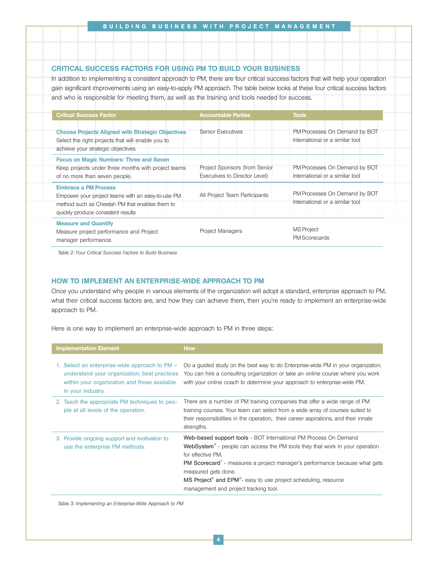# CRITICAL SUCCESS FACTORS FOR USING PM TO BUILD YOUR BUSINESS

In addition to implementing a consistent approach to PM, there are four critical success factors that will help your operation gain significant improvements using an easy-to-apply PM approach. The table below looks at these four critical success factors and who is responsible for meeting them, as well as the training and tools needed for success.

| <b>Critical Success Factor</b>                                                                                                                                           | <b>Accountable Parties</b>                                     | <b>Tools</b>                                                     |
|--------------------------------------------------------------------------------------------------------------------------------------------------------------------------|----------------------------------------------------------------|------------------------------------------------------------------|
| <b>Choose Projects Aligned with Strategic Objectives</b><br>Select the right projects that will enable you to<br>achieve your strategic objectives.                      | <b>Senior Executives</b>                                       | PM Processes On Demand by BOT<br>International or a similar tool |
| <b>Focus on Magic Numbers: Three and Seven</b><br>Keep projects under three months with project teams<br>of no more than seven people.                                   | Project Sponsors (from Senior<br>Executives to Director Level) | PM Processes On Demand by BOT<br>International or a similar tool |
| <b>Embrace a PM Process</b><br>Empower your project teams with an easy-to-use PM<br>method such as Cheetah PM that enables them to<br>quickly produce consistent results | All Project Team Participants                                  | PM Processes On Demand by BOT<br>International or a similar tool |
| <b>Measure and Quantify</b><br>Measure project performance and Project<br>manager performance.                                                                           | <b>Project Managers</b>                                        | <b>MS</b> Project<br><b>PM Scorecards</b>                        |

*Table 2: Four Critical Success Factors to Build Business*

## HOW TO IMPLEMENT AN ENTERPRISE-WIDE APPROACH TO PM

Once you understand why people in various elements of the organization will adopt a standard, enterprise approach to PM, what their critical success factors are, and how they can achieve them, then you're ready to implement an enterprise-wide approach to PM.

Here is one way to implement an enterprise-wide approach to PM in three steps:

| <b>Implementation Element</b>                                                                                                                                      | <b>How</b>                                                                                                                                                                                                                                                                                                                                                                                                                       |
|--------------------------------------------------------------------------------------------------------------------------------------------------------------------|----------------------------------------------------------------------------------------------------------------------------------------------------------------------------------------------------------------------------------------------------------------------------------------------------------------------------------------------------------------------------------------------------------------------------------|
| 1. Select an enterprise-wide approach to PM –<br>understand your organization, best practices<br>within your organization and those available<br>in your industry. | Do a guided study on the best way to do Enterprise-wide PM in your organization.<br>You can hire a consulting organization or take an online course where you work<br>with your online coach to determine your approach to enterprise-wide PM.                                                                                                                                                                                   |
| 2. Teach the appropriate PM techniques to peo-<br>ple at all levels of the operation.                                                                              | There are a number of PM training companies that offer a wide range of PM<br>training courses. Your team can select from a wide array of courses suited to<br>their responsibilities in the operation, their career aspirations, and their innate<br>strengths.                                                                                                                                                                  |
| 3. Provide ongoing support and motivation to<br>use the enterprise PM methods.                                                                                     | Web-based support tools - BOT International PM Process On Demand<br>WebSystem <sup>®</sup> - people can access the PM tools they that work in your operation<br>for effective PM.<br><b>PM Scorecard</b> - measures a project manager's performance because what gets<br>measured gets done.<br>MS Project <sup>®</sup> and EPM <sup>®</sup> - easy to use project scheduling, resource<br>management and project tracking tool. |

*Table 3: Implementing an Enterprise-Wide Approach to PM*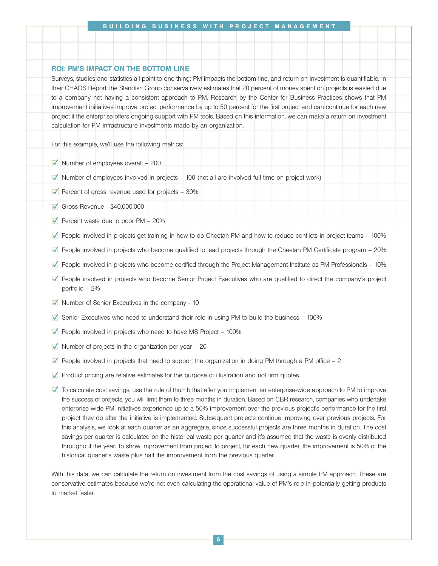## ROI: PM'S IMPACT ON THE BOTTOM LINE

Surveys, studies and statistics all point to one thing: PM impacts the bottom line, and return on investment is quantifiable. In their CHAOS Report, the Standish Group conservatively estimates that 20 percent of money spent on projects is wasted due to a company not having a consistent approach to PM. Research by the Center for Business Practices shows that PM improvement initiatives improve project performance by up to 50 percent for the first project and can continue for each new project if the enterprise offers ongoing support with PM tools. Based on this information, we can make a return on investment calculation for PM infrastructure investments made by an organization.

For this example, we'll use the following metrics:

- $\sqrt{\phantom{a}}$  Number of employees overall 200
- $\blacksquare$  Number of employees involved in projects 100 (not all are involved full time on project work)
- Percent of gross revenue used for projects  $-30\%$
- Gross Revenue \$40,000,000
- Percent waste due to poor  $PM 20\%$
- People involved in projects get training in how to do Cheetah PM and how to reduce conflicts in project teams 100%
- People involved in projects who become qualified to lead projects through the Cheetah PM Certificate program 20%
- People involved in projects who become certified through the Project Management Institute as PM Professionals 10%
- **People involved in projects who become Senior Project Executives who are qualified to direct the company's project** portfolio – 2%
- $\blacksquare$  Number of Senior Executives in the company 10
- $\sqrt{ }$  Senior Executives who need to understand their role in using PM to build the business 100%
- $\blacksquare$  People involved in projects who need to have MS Project 100%
- $\sqrt{\phantom{a}}$  Number of projects in the organization per year 20
- $\Box$  People involved in projects that need to support the organization in doing PM through a PM office  $-2$
- $\blacktriangledown$  Product pricing are relative estimates for the purpose of illustration and not firm quotes.
- To calculate cost savings, use the rule of thumb that after you implement an enterprise-wide approach to PM to improve the success of projects, you will limit them to three months in duration. Based on CBR research, companies who undertake enterprise-wide PM initiatives experience up to a 50% improvement over the previous project's performance for the first project they do after the initiative is implemented. Subsequent projects continue improving over previous projects. For this analysis, we look at each quarter as an aggregate, since successful projects are three months in duration. The cost savings per quarter is calculated on the historical waste per quarter and it's assumed that the waste is evenly distributed throughout the year. To show improvement from project to project, for each new quarter, the improvement is 50% of the historical quarter's waste plus half the improvement from the previous quarter.

With this data, we can calculate the return on investment from the cost savings of using a simple PM approach. These are conservative estimates because we're not even calculating the operational value of PM's role in potentially getting products to market faster.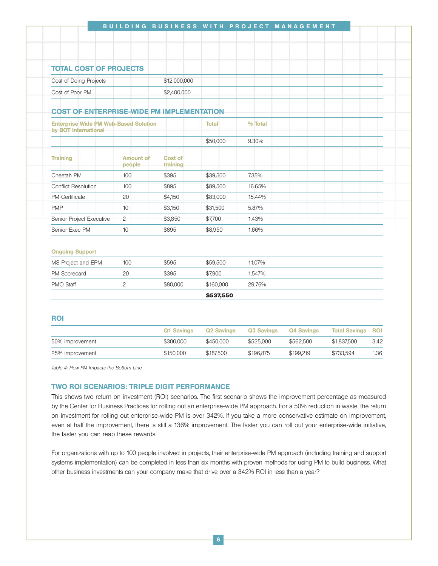| <b>TOTAL COST OF PROJECTS</b>                                        |                            |                            |              |         |  |  |  |
|----------------------------------------------------------------------|----------------------------|----------------------------|--------------|---------|--|--|--|
| Cost of Doing Projects                                               |                            | \$12,000,000               |              |         |  |  |  |
| Cost of Poor PM                                                      |                            | \$2,400,000                |              |         |  |  |  |
| <b>COST OF ENTERPRISE-WIDE PM IMPLEMENTATION</b>                     |                            |                            |              |         |  |  |  |
| <b>Enterprise Wide PM Web-Based Solution</b><br>by BOT International |                            |                            | <b>Total</b> | % Total |  |  |  |
|                                                                      |                            |                            | \$50,000     | 9.30%   |  |  |  |
| <b>Training</b>                                                      | <b>Amount of</b><br>people | <b>Cost of</b><br>training |              |         |  |  |  |
| Cheetah PM                                                           | 100                        | \$395                      | \$39,500     | 7.35%   |  |  |  |
| <b>Conflict Resolution</b>                                           | 100                        | \$895                      | \$89,500     | 16.65%  |  |  |  |
| PM Certificate                                                       | 20                         | \$4,150                    | \$83,000     | 15.44%  |  |  |  |
| <b>PMP</b>                                                           | 10                         | \$3,150                    | \$31,500     | 5.87%   |  |  |  |
| Senior Project Executive                                             | $\overline{c}$             | \$3,850                    | \$7,700      | 1.43%   |  |  |  |
| Senior Exec PM                                                       | 10                         | \$895                      | \$8,950      | 1.66%   |  |  |  |
| <b>Ongoing Support</b>                                               |                            |                            |              |         |  |  |  |
| MS Project and EPM                                                   | 100                        | \$595                      | \$59,500     | 11.07%  |  |  |  |
| PM Scorecard                                                         | 20                         | \$395                      | \$7,900      | 1.547%  |  |  |  |
| <b>PMO Staff</b>                                                     | $\overline{2}$             | \$80,000                   | \$160,000    | 29.76%  |  |  |  |
|                                                                      |                            |                            | \$537,550    |         |  |  |  |
| <b>ROI</b>                                                           |                            |                            |              |         |  |  |  |

|                 | Q1 Savings | Q2 Savings | Q3 Savings Q4 Savings |           | <b>Total Savings ROI</b> |      |
|-----------------|------------|------------|-----------------------|-----------|--------------------------|------|
| 50% improvement | \$300,000  | \$450.000  | \$525.000             | \$562.500 | \$1.837.500              | 3.42 |
| 25% improvement | \$150,000  | \$187.500  | \$196.875             | \$199.219 | \$733.594                | 1.36 |

*Table 4: How PM Impacts the Bottom Line*

# TWO ROI SCENARIOS: TRIPLE DIGIT PERFORMANCE

This shows two return on investment (ROI) scenarios. The first scenario shows the improvement percentage as measured by the Center for Business Practices for rolling out an enterprise-wide PM approach. For a 50% reduction in waste, the return on investment for rolling out enterprise-wide PM is over 342%. If you take a more conservative estimate on improvement, even at half the improvement, there is still a 136% improvement. The faster you can roll out your enterprise-wide initiative, the faster you can reap these rewards.

For organizations with up to 100 people involved in projects, their enterprise-wide PM approach (including training and support systems implementation) can be completed in less than six months with proven methods for using PM to build business. What other business investments can your company make that drive over a 342% ROI in less than a year?